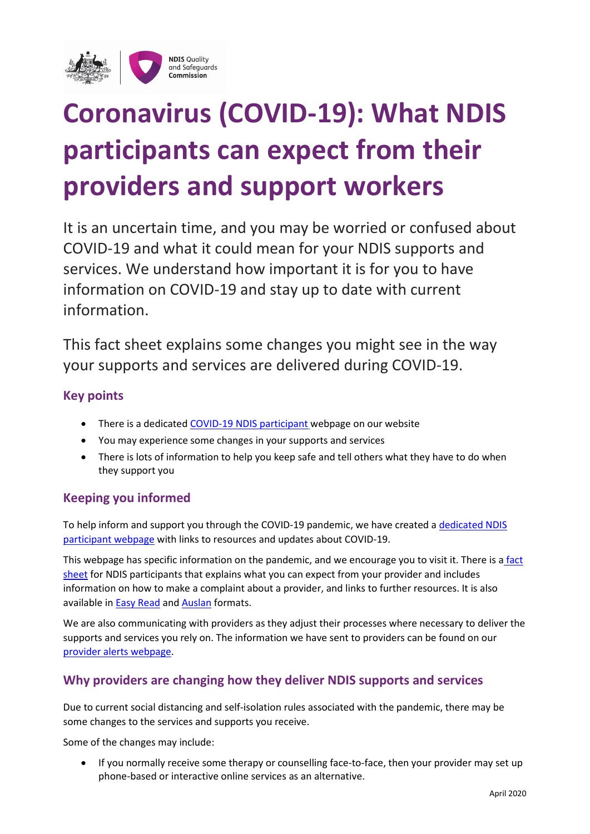

# **Coronavirus (COVID-19): What NDIS participants can expect from their providers and support workers**

It is an uncertain time, and you may be worried or confused about COVID-19 and what it could mean for your NDIS supports and services. We understand how important it is for you to have information on COVID-19 and stay up to date with current information.

This fact sheet explains some changes you might see in the way your supports and services are delivered during COVID-19.

## **Key points**

- There is a dedicated [COVID-19 NDIS participant](https://www.ndiscommission.gov.au/participants/covid-19-people-disability) webpage on our website
- You may experience some changes in your supports and services
- There is lots of information to help you keep safe and tell others what they have to do when they support you

## **Keeping you informed**

To help inform and support you through the COVID-19 pandemic, we have created a [dedicated NDIS](https://www.ndiscommission.gov.au/participants/covid-19-people-disability)  [participant webpage](https://www.ndiscommission.gov.au/participants/covid-19-people-disability) with links to resources and updates about COVID-19.

This webpage has specific information on the pandemic, and we encourage you to visit it. There is a fact [sheet](https://www.ndiscommission.gov.au/document/1976) for NDIS participants that explains what you can expect from your provider and includes information on how to make a complaint about a provider, and links to further resources. It is also available i[n Easy Read](https://www.ndiscommission.gov.au/document/1996) an[d Auslan](https://www.youtube.com/watch?v=buZwTTyqNn4&feature=youtu.be) formats.

We are also communicating with providers as they adjust their processes where necessary to deliver the supports and services you rely on. The information we have sent to providers can be found on our [provider alerts webpage.](https://www.ndiscommission.gov.au/news-media/provider-newsletters#alerts)

## **Why providers are changing how they deliver NDIS supports and services**

Due to current social distancing and self-isolation rules associated with the pandemic, there may be some changes to the services and supports you receive.

Some of the changes may include:

• If you normally receive some therapy or counselling face-to-face, then your provider may set up phone-based or interactive online services as an alternative.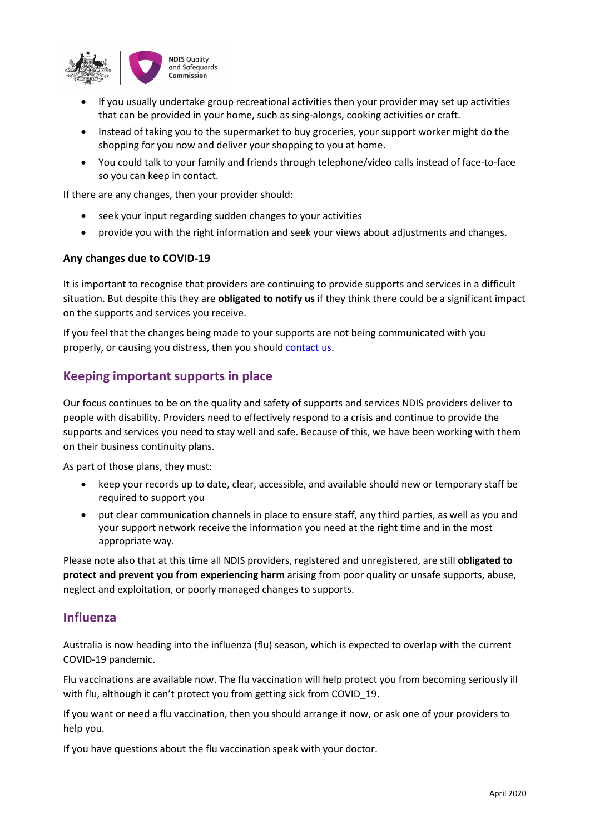

- If you usually undertake group recreational activities then your provider may set up activities that can be provided in your home, such as sing-alongs, cooking activities or craft.
- Instead of taking you to the supermarket to buy groceries, your support worker might do the shopping for you now and deliver your shopping to you at home.
- You could talk to your family and friends through telephone/video calls instead of face-to-face so you can keep in contact.

If there are any changes, then your provider should:

- seek your input regarding sudden changes to your activities
- provide you with the right information and seek your views about adjustments and changes.

#### **Any changes due to COVID-19**

It is important to recognise that providers are continuing to provide supports and services in a difficult situation. But despite this they are **obligated to notify us** if they think there could be a significant impact on the supports and services you receive.

If you feel that the changes being made to your supports are not being communicated with you properly, or causing you distress, then you should [contact](https://www.ndiscommission.gov.au/about/complaints) us.

### **Keeping important supports in place**

Our focus continues to be on the quality and safety of supports and services NDIS providers deliver to people with disability. Providers need to effectively respond to a crisis and continue to provide the supports and services you need to stay well and safe. Because of this, we have been working with them on their business continuity plans.

As part of those plans, they must:

- keep your records up to date, clear, accessible, and available should new or temporary staff be required to support you
- put clear communication channels in place to ensure staff, any third parties, as well as you and your support network receive the information you need at the right time and in the most appropriate way.

Please note also that at this time all NDIS providers, registered and unregistered, are still **obligated to protect and prevent you from experiencing harm** arising from poor quality or unsafe supports, abuse, neglect and exploitation, or poorly managed changes to supports.

#### **Influenza**

Australia is now heading into the influenza (flu) season, which is expected to overlap with the current COVID-19 pandemic.

Flu vaccinations are available now. The flu vaccination will help protect you from becoming seriously ill with flu, although it can't protect you from getting sick from COVID 19.

If you want or need a flu vaccination, then you should arrange it now, or ask one of your providers to help you.

If you have questions about the flu vaccination speak with your doctor.